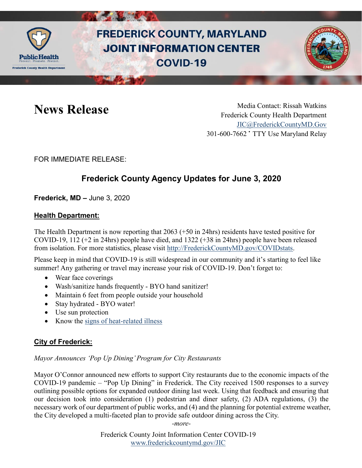

# **FREDERICK COUNTY, MARYLAND JOINT INFORMATION CENTER COVID-19**



News Release Media Contact: Rissah Watkins Frederick County Health Department [JIC@FrederickCountyMD.Gov](mailto:JIC@FrederickCountyMD.Gov) 301-600-7662 • TTY Use Maryland Relay

FOR IMMEDIATE RELEASE:

## **Frederick County Agency Updates for June 3, 2020**

**Frederick, MD –** June 3, 2020

#### **Health Department:**

The Health Department is now reporting that 2063 (+50 in 24hrs) residents have tested positive for COVID-19, 112 (+2 in 24hrs) people have died, and 1322 (+38 in 24hrs) people have been released from isolation. For more statistics, please visit [http://FrederickCountyMD.gov/COVIDstats.](http://frederickcountymd.gov/COVIDstats)

Please keep in mind that COVID-19 is still widespread in our community and it's starting to feel like summer! Any gathering or travel may increase your risk of COVID-19. Don't forget to:

- Wear face coverings
- Wash/sanitize hands frequently BYO hand sanitizer!
- Maintain 6 feet from people outside your household
- Stay hydrated BYO water!
- Use sun protection
- Know the [signs of heat-related illness](https://www.cdc.gov/disasters/extremeheat/warning.html)

#### **City of Frederick:**

#### *Mayor Announces 'Pop Up Dining' Program for City Restaurants*

Mayor O'Connor announced new efforts to support City restaurants due to the economic impacts of the COVID-19 pandemic – "Pop Up Dining" in Frederick. The City received 1500 responses to a survey outlining possible options for expanded outdoor dining last week. Using that feedback and ensuring that our decision took into consideration (1) pedestrian and diner safety, (2) ADA regulations, (3) the necessary work of our department of public works, and (4) and the planning for potential extreme weather, the City developed a multi-faceted plan to provide safe outdoor dining across the City.

*-more-*

Frederick County Joint Information Center COVID-19 [www.frederickcountymd.gov/JIC](https://frederickcountymd.gov/JIC)